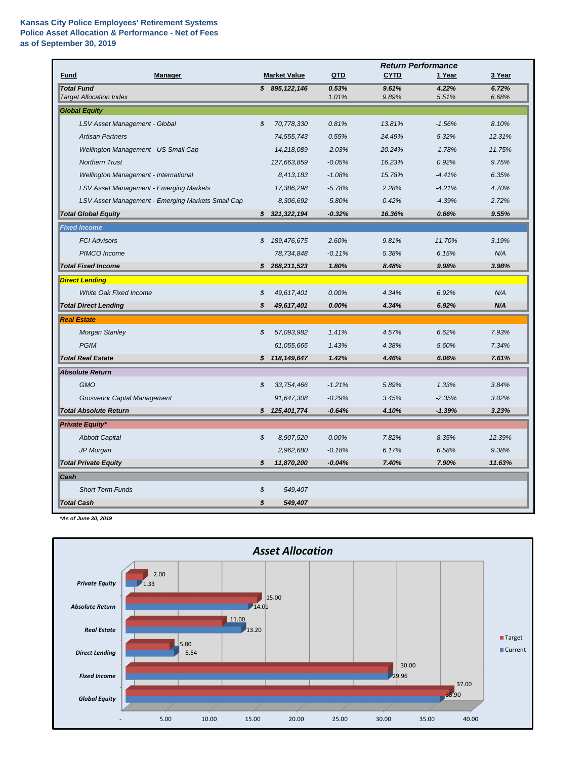## **Kansas City Police Employees' Retirement Systems Police Asset Allocation & Performance - Net of Fees as of September 30, 2019**

|                                                     |                            |                     |                | <b>Return Performance</b> |                |                |  |  |
|-----------------------------------------------------|----------------------------|---------------------|----------------|---------------------------|----------------|----------------|--|--|
| <b>Manager</b><br><b>Fund</b>                       |                            | <b>Market Value</b> | QTD            | <b>CYTD</b>               | 1 Year         | 3 Year         |  |  |
| <b>Total Fund</b><br><b>Target Allocation Index</b> |                            | \$895,122,146       | 0.53%<br>1.01% | 9.61%<br>9.89%            | 4.22%<br>5.51% | 6.72%<br>6.68% |  |  |
| <b>Global Equity</b>                                |                            |                     |                |                           |                |                |  |  |
| LSV Asset Management - Global                       | $\boldsymbol{\mathcal{S}}$ | 70,778,330          | 0.81%          | 13.81%                    | $-1.56%$       | 8.10%          |  |  |
| <b>Artisan Partners</b>                             |                            | 74,555,743          | 0.55%          | 24.49%                    | 5.32%          | 12.31%         |  |  |
| Wellington Management - US Small Cap                |                            | 14,218,089          | $-2.03%$       | 20.24%                    | $-1.78%$       | 11.75%         |  |  |
| <b>Northern Trust</b>                               |                            | 127,663,859         | $-0.05%$       | 16.23%                    | 0.92%          | 9.75%          |  |  |
| Wellington Management - International               |                            | 8,413,183           | $-1.08%$       | 15.78%                    | $-4.41%$       | 6.35%          |  |  |
| LSV Asset Management - Emerging Markets             |                            | 17,386,298          | $-5.78%$       | 2.28%                     | $-4.21%$       | 4.70%          |  |  |
| LSV Asset Management - Emerging Markets Small Cap   |                            | 8,306,692           | $-5.80%$       | 0.42%                     | $-4.39%$       | 2.72%          |  |  |
| <b>Total Global Equity</b>                          | S                          | 321,322,194         | $-0.32%$       | 16.36%                    | 0.66%          | 9.55%          |  |  |
| <b>Fixed Income</b>                                 |                            |                     |                |                           |                |                |  |  |
| <b>FCI Advisors</b>                                 | \$                         | 189,476,675         | 2.60%          | 9.81%                     | 11.70%         | 3.19%          |  |  |
| PIMCO Income                                        |                            | 78,734,848          | $-0.11%$       | 5.38%                     | 6.15%          | N/A            |  |  |
| <b>Total Fixed Income</b>                           | S                          | 268,211,523         | 1.80%          | 8.48%                     | 9.98%          | 3.98%          |  |  |
| <b>Direct Lending</b>                               |                            |                     |                |                           |                |                |  |  |
| <b>White Oak Fixed Income</b>                       | \$                         | 49,617,401          | 0.00%          | 4.34%                     | 6.92%          | N/A            |  |  |
| <b>Total Direct Lending</b>                         | \$                         | 49,617,401          | 0.00%          | 4.34%                     | 6.92%          | N/A            |  |  |
| <b>Real Estate</b>                                  |                            |                     |                |                           |                |                |  |  |
| <b>Morgan Stanley</b>                               | \$                         | 57,093,982          | 1.41%          | 4.57%                     | 6.62%          | 7.93%          |  |  |
| <b>PGIM</b>                                         |                            | 61,055,665          | 1.43%          | 4.38%                     | 5.60%          | 7.34%          |  |  |
| <b>Total Real Estate</b>                            |                            | \$118,149,647       | 1.42%          | 4.46%                     | 6.06%          | 7.61%          |  |  |
| <b>Absolute Return</b>                              |                            |                     |                |                           |                |                |  |  |
| GMO                                                 | \$                         | 33,754,466          | $-1.21%$       | 5.89%                     | 1.33%          | 3.84%          |  |  |
| <b>Grosvenor Captal Management</b>                  |                            | 91,647,308          | $-0.29%$       | 3.45%                     | $-2.35%$       | 3.02%          |  |  |
| <b>Total Absolute Return</b>                        | \$                         | 125,401,774         | $-0.64%$       | 4.10%                     | $-1.39%$       | 3.23%          |  |  |
| <b>Private Equity*</b>                              |                            |                     |                |                           |                |                |  |  |
| <b>Abbott Capital</b>                               | \$                         | 8,907,520           | 0.00%          | 7.82%                     | 8.35%          | 12.39%         |  |  |
| JP Morgan                                           |                            | 2,962,680           | $-0.18%$       | 6.17%                     | 6.58%          | 9.38%          |  |  |
| <b>Total Private Equity</b>                         | \$                         | 11,870,200          | $-0.04%$       | 7.40%                     | 7.90%          | 11.63%         |  |  |
| Cash                                                |                            |                     |                |                           |                |                |  |  |
| <b>Short Term Funds</b>                             | \$                         | 549,407             |                |                           |                |                |  |  |
| <b>Total Cash</b>                                   | \$                         | 549,407             |                |                           |                |                |  |  |

*\*As of June 30, 2019*